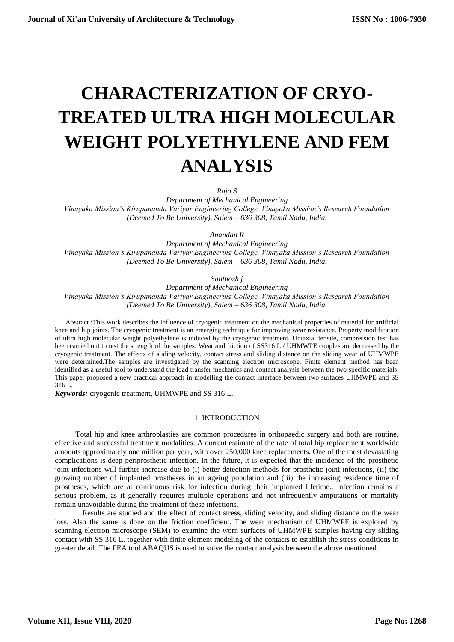# **CHARACTERIZATION OF CRYO-TREATED ULTRA HIGH MOLECULAR WEIGHT POLYETHYLENE AND FEM ANALYSIS**

*Raja.S*

*Department of Mechanical Engineering Vinayaka Mission's Kirupananda Variyar Engineering College, Vinayaka Mission's Research Foundation (Deemed To Be University), Salem – 636 308, Tamil Nadu, India.*

*Anandan R*

*Department of Mechanical Engineering Vinayaka Mission's Kirupananda Variyar Engineering College, Vinayaka Mission's Research Foundation (Deemed To Be University), Salem – 636 308, Tamil Nadu, India.*

*Santhosh j*

*Department of Mechanical Engineering Vinayaka Mission's Kirupananda Variyar Engineering College, Vinayaka Mission's Research Foundation (Deemed To Be University), Salem – 636 308, Tamil Nadu, India.*

Abstract :This work describes the influence of cryogenic treatment on the mechanical properties of material for artificial knee and hip joints. The cryogenic treatment is an emerging technique for improving wear resistance. Property modification of ultra high molecular weight polyethylene is induced by the cryogenic treatment. Uniaxial tensile, compression test has been carried out to test the strength of the samples. Wear and friction of SS316 L / UHMWPE couples are decreased by the cryogenic treatment. The effects of sliding velocity, contact stress and sliding distance on the sliding wear of UHMWPE were determined.The samples are investigated by the scanning electron microscope. Finite element method has been identified as a useful tool to understand the load transfer mechanics and contact analysis between the two specific materials. This paper proposed a new practical approach in modelling the contact interface between two surfaces UHMWPE and SS 316 L.

*Keywords:* cryogenic treatment, UHMWPE and SS 316 L.

# 1. INTRODUCTION

Total hip and knee arthroplasties are common procedures in orthopaedic surgery and both are routine, effective and successful treatment modalities. A current estimate of the rate of total hip replacement worldwide amounts approximately one million per year, with over 250,000 knee replacements. One of the most devastating complications is deep periprosthetic infection. In the future, it is expected that the incidence of the prosthetic joint infections will further increase due to (i) better detection methods for prosthetic joint infections, (ii) the growing number of implanted prostheses in an ageing population and (iii) the increasing residence time of prostheses, which are at continuous risk for infection during their implanted lifetime.. Infection remains a serious problem, as it generally requires multiple operations and not infrequently amputations or mortality remain unavoidable during the treatment of these infections.

Results are studied and the effect of contact stress, sliding velocity, and sliding distance on the wear loss. Also the same is done on the friction coefficient. The wear mechanism of UHMWPE is explored by scanning electron microscope (SEM) to examine the worn surfaces of UHMWPE samples having dry sliding contact with SS 316 L. together with finite element modeling of the contacts to establish the stress conditions in greater detail. The FEA tool ABAQUS is used to solve the contact analysis between the above mentioned.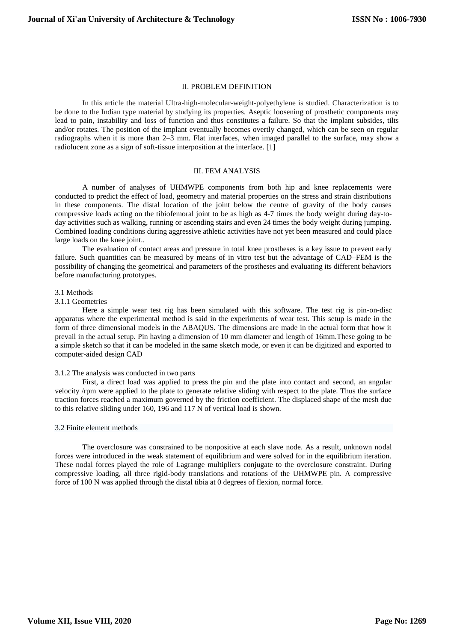# II. PROBLEM DEFINITION

In this article the material Ultra-high-molecular-weight-polyethylene is studied. Characterization is to be done to the Indian type material by studying its properties. Aseptic loosening of prosthetic components may lead to pain, instability and loss of function and thus constitutes a failure. So that the implant subsides, tilts and/or rotates. The position of the implant eventually becomes overtly changed, which can be seen on regular radiographs when it is more than  $2-\overline{3}$  mm. Flat interfaces, when imaged parallel to the surface, may show a radiolucent zone as a sign of soft-tissue interposition at the interface. [1]

#### III. FEM ANALYSIS

A number of analyses of UHMWPE components from both hip and knee replacements were conducted to predict the effect of load, geometry and material properties on the stress and strain distributions in these components. The distal location of the joint below the centre of gravity of the body causes compressive loads acting on the tibiofemoral joint to be as high as 4-7 times the body weight during day-today activities such as walking, running or ascending stairs and even 24 times the body weight during jumping. Combined loading conditions during aggressive athletic activities have not yet been measured and could place large loads on the knee joint..

The evaluation of contact areas and pressure in total knee prostheses is a key issue to prevent early failure. Such quantities can be measured by means of in vitro test but the advantage of CAD–FEM is the possibility of changing the geometrical and parameters of the prostheses and evaluating its different behaviors before manufacturing prototypes.

#### 3.1 Methods

#### 3.1.1 Geometries

Here a simple wear test rig has been simulated with this software. The test rig is pin-on-disc apparatus where the experimental method is said in the experiments of wear test. This setup is made in the form of three dimensional models in the ABAQUS. The dimensions are made in the actual form that how it prevail in the actual setup. Pin having a dimension of 10 mm diameter and length of 16mm.These going to be a simple sketch so that it can be modeled in the same sketch mode, or even it can be digitized and exported to computer-aided design CAD

#### 3.1.2 The analysis was conducted in two parts

First, a direct load was applied to press the pin and the plate into contact and second, an angular velocity /rpm were applied to the plate to generate relative sliding with respect to the plate. Thus the surface traction forces reached a maximum governed by the friction coefficient. The displaced shape of the mesh due to this relative sliding under 160, 196 and 117 N of vertical load is shown.

#### 3.2 Finite element methods

The overclosure was constrained to be nonpositive at each slave node. As a result, unknown nodal forces were introduced in the weak statement of equilibrium and were solved for in the equilibrium iteration. These nodal forces played the role of Lagrange multipliers conjugate to the overclosure constraint. During compressive loading, all three rigid-body translations and rotations of the UHMWPE pin. A compressive force of 100 N was applied through the distal tibia at 0 degrees of flexion, normal force.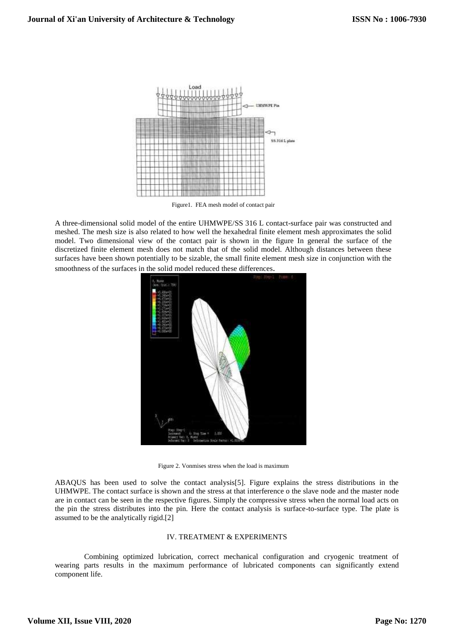

Figure1. FEA mesh model of contact pair

A three-dimensional solid model of the entire UHMWPE/SS 316 L contact-surface pair was constructed and meshed. The mesh size is also related to how well the hexahedral finite element mesh approximates the solid model. Two dimensional view of the contact pair is shown in the figure In general the surface of the discretized finite element mesh does not match that of the solid model. Although distances between these surfaces have been shown potentially to be sizable, the small finite element mesh size in conjunction with the smoothness of the surfaces in the solid model reduced these differences.



Figure 2. Vonmises stress when the load is maximum

ABAQUS has been used to solve the contact analysis[5]. Figure explains the stress distributions in the UHMWPE. The contact surface is shown and the stress at that interference o the slave node and the master node are in contact can be seen in the respective figures. Simply the compressive stress when the normal load acts on the pin the stress distributes into the pin. Here the contact analysis is surface-to-surface type. The plate is assumed to be the analytically rigid.[2]

# IV. TREATMENT & EXPERIMENTS

Combining optimized lubrication, correct mechanical configuration and cryogenic treatment of wearing parts results in the maximum performance of lubricated components can significantly extend component life.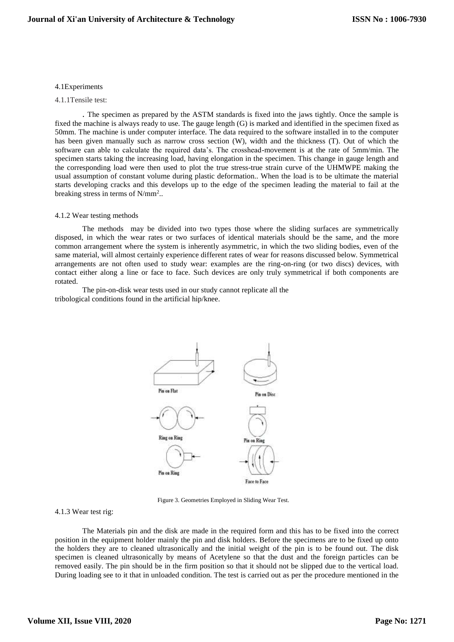## 4.1Experiments

## 4.1.1Tensile test:

. The specimen as prepared by the ASTM standards is fixed into the jaws tightly. Once the sample is fixed the machine is always ready to use. The gauge length (G) is marked and identified in the specimen fixed as 50mm. The machine is under computer interface. The data required to the software installed in to the computer has been given manually such as narrow cross section (W), width and the thickness (T). Out of which the software can able to calculate the required data's. The crosshead-movement is at the rate of 5mm/min. The specimen starts taking the increasing load, having elongation in the specimen. This change in gauge length and the corresponding load were then used to plot the true stress-true strain curve of the UHMWPE making the usual assumption of constant volume during plastic deformation.. When the load is to be ultimate the material starts developing cracks and this develops up to the edge of the specimen leading the material to fail at the breaking stress in terms of N/mm<sup>2</sup>..

#### 4.1.2 Wear testing methods

The methods may be divided into two types those where the sliding surfaces are symmetrically disposed, in which the wear rates or two surfaces of identical materials should be the same, and the more common arrangement where the system is inherently asymmetric, in which the two sliding bodies, even of the same material, will almost certainly experience different rates of wear for reasons discussed below. Symmetrical arrangements are not often used to study wear: examples are the ring-on-ring (or two discs) devices, with contact either along a line or face to face. Such devices are only truly symmetrical if both components are rotated.

The pin-on-disk wear tests used in our study cannot replicate all the tribological conditions found in the artificial hip/knee.



Figure 3. Geometries Employed in Sliding Wear Test.

# 4.1.3 Wear test rig:

The Materials pin and the disk are made in the required form and this has to be fixed into the correct position in the equipment holder mainly the pin and disk holders. Before the specimens are to be fixed up onto the holders they are to cleaned ultrasonically and the initial weight of the pin is to be found out. The disk specimen is cleaned ultrasonically by means of Acetylene so that the dust and the foreign particles can be removed easily. The pin should be in the firm position so that it should not be slipped due to the vertical load. During loading see to it that in unloaded condition. The test is carried out as per the procedure mentioned in the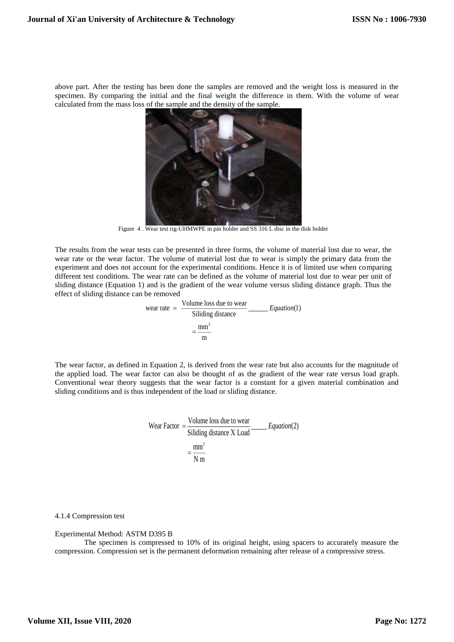above part. After the testing has been done the samples are removed and the weight loss is measured in the specimen. By comparing the initial and the final weight the difference in them. With the volume of wear calculated from the mass loss of the sample and the density of the sample.



Figure 4 . Wear test rig-UHMWPE in pin holder and SS 316 L disc in the disk holder

The results from the wear tests can be presented in three forms, the volume of material lost due to wear, the wear rate or the wear factor. The volume of material lost due to wear is simply the primary data from the experiment and does not account for the experimental conditions. Hence it is of limited use when comparing different test conditions. The wear rate can be defined as the volume of material lost due to wear per unit of sliding distance (Equation 1) and is the gradient of the wear volume versus sliding distance graph. Thus the effect of sliding distance can be removed

wear rate = 
$$
\frac{\text{Volume loss due to wear}}{\text{Siliding distance}}
$$

\n $= \frac{\text{mm}^3}{\text{m}}$ 

The wear factor, as defined in Equation 2, is derived from the wear rate but also accounts for the magnitude of the applied load. The wear factor can also be thought of as the gradient of the wear rate versus load graph. Conventional wear theory suggests that the wear factor is a constant for a given material combination and sliding conditions and is thus independent of the load or sliding distance.

Wear Factor = 
$$
\frac{\text{Volume loss due to wear}}{\text{Siliding distance X Load}} = \frac{Equation(2)}{N \, \text{m}}
$$

# 4.1.4 Compression test

# Experimental Method: ASTM D395 B

The specimen is compressed to 10% of its original height, using spacers to accurately measure the compression. Compression set is the permanent deformation remaining after release of a compressive stress.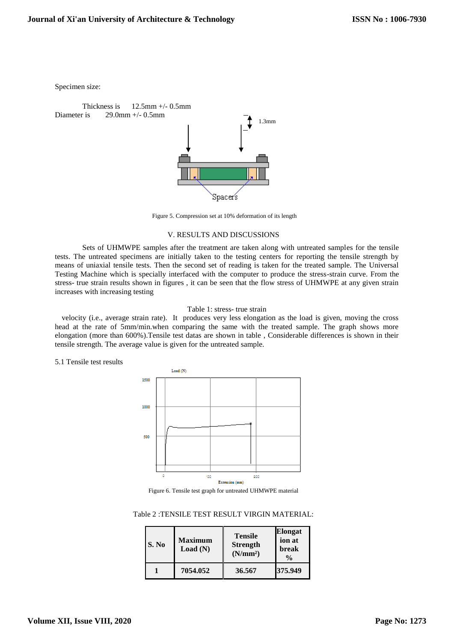Specimen size:

Thickness is  $12.5$ mm  $+/$ - 0.5mm Diameter is  $29.0$ mm  $+/$ - 0.5mm



Figure 5. Compression set at 10% deformation of its length

# V. RESULTS AND DISCUSSIONS

Sets of UHMWPE samples after the treatment are taken along with untreated samples for the tensile tests. The untreated specimens are initially taken to the testing centers for reporting the tensile strength by means of uniaxial tensile tests. Then the second set of reading is taken for the treated sample. The Universal Testing Machine which is specially interfaced with the computer to produce the stress-strain curve. From the stress- true strain results shown in figures , it can be seen that the flow stress of UHMWPE at any given strain increases with increasing testing

# Table 1: stress- true strain

 velocity (i.e., average strain rate). It produces very less elongation as the load is given, moving the cross head at the rate of 5mm/min.when comparing the same with the treated sample. The graph shows more elongation (more than 600%).Tensile test datas are shown in table , Considerable differences is shown in their tensile strength. The average value is given for the untreated sample.

## 5.1 Tensile test results



Figure 6. Tensile test graph for untreated UHMWPE material

Table 2 :TENSILE TEST RESULT VIRGIN MATERIAL:

| S. No | <b>Maximum</b><br>Load(N) | <b>Tensile</b><br><b>Strength</b><br>(N/mm <sup>2</sup> ) | <b>Elongat</b><br>ion at<br><b>break</b><br>$\frac{0}{0}$ |
|-------|---------------------------|-----------------------------------------------------------|-----------------------------------------------------------|
|       | 7054.052                  | 36.567                                                    | 375.949                                                   |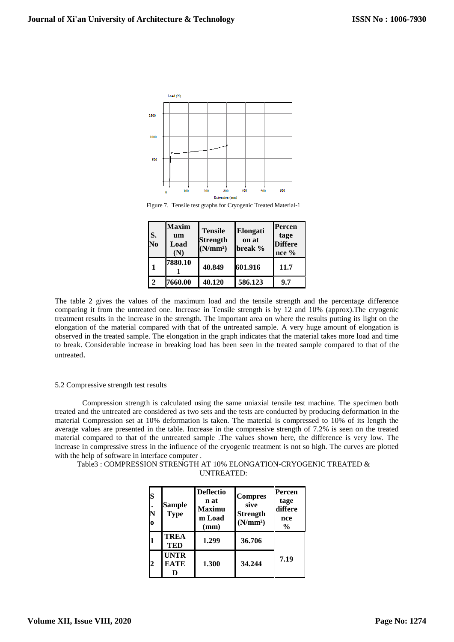

Figure 7. Tensile test graphs for Cryogenic Treated Material-1

| S.<br>$\overline{\text{No}}$ | <b>Maxim</b><br>um<br>Load<br>(N) | <b>Tensile</b><br>Strength<br>(N/mm <sup>2</sup> ) | Elongati<br>on at<br>break % | Percen<br>tage<br><b>Differe</b><br>$nce\%$ |
|------------------------------|-----------------------------------|----------------------------------------------------|------------------------------|---------------------------------------------|
|                              | 7880.10                           | 40.849                                             | 601.916                      | 11.7                                        |
|                              | 7660.00                           | 40.120                                             | 586.123                      | 9.7                                         |

The table 2 gives the values of the maximum load and the tensile strength and the percentage difference comparing it from the untreated one. Increase in Tensile strength is by 12 and 10% (approx).The cryogenic treatment results in the increase in the strength. The important area on where the results putting its light on the elongation of the material compared with that of the untreated sample. A very huge amount of elongation is observed in the treated sample. The elongation in the graph indicates that the material takes more load and time to break. Considerable increase in breaking load has been seen in the treated sample compared to that of the untreated.

## 5.2 Compressive strength test results

Compression strength is calculated using the same uniaxial tensile test machine. The specimen both treated and the untreated are considered as two sets and the tests are conducted by producing deformation in the material Compression set at 10% deformation is taken. The material is compressed to 10% of its length the average values are presented in the table. Increase in the compressive strength of 7.2% is seen on the treated material compared to that of the untreated sample .The values shown here, the difference is very low. The increase in compressive stress in the influence of the cryogenic treatment is not so high. The curves are plotted with the help of software in interface computer .

Table3 : COMPRESSION STRENGTH AT 10% ELONGATION-CRYOGENIC TREATED & UNTREATED:

| S<br>N<br>$\mathbf 0$ | Sample<br><b>Type</b>      | <b>Deflectio</b><br>n at<br>Maximu<br>m Load<br>(mm) | <b>Compres</b><br>sive<br><b>Strength</b><br>(N/mm <sup>2</sup> ) | Percen<br>tage<br>differe<br>nce<br>$\frac{6}{9}$ |
|-----------------------|----------------------------|------------------------------------------------------|-------------------------------------------------------------------|---------------------------------------------------|
|                       | <b>TREA</b><br>TED         | 1.299                                                | 36.706                                                            |                                                   |
| 2                     | <b>UNTR</b><br><b>EATE</b> | 1.300                                                | 34.244                                                            | 7.19                                              |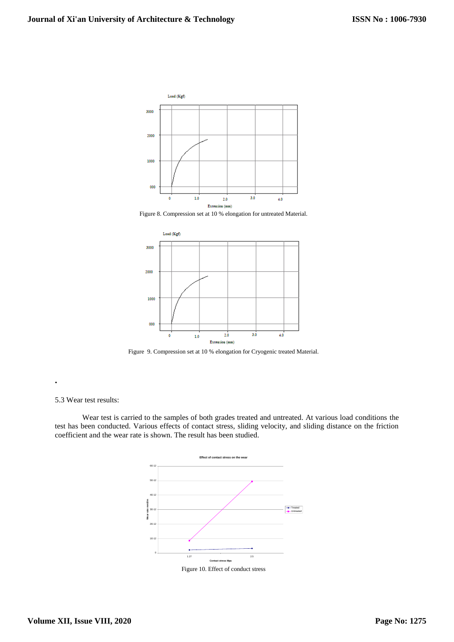

Figure 8. Compression set at 10 % elongation for untreated Material.



Figure 9. Compression set at 10 % elongation for Cryogenic treated Material.

## 5.3 Wear test results:

**.**

Wear test is carried to the samples of both grades treated and untreated. At various load conditions the test has been conducted. Various effects of contact stress, sliding velocity, and sliding distance on the friction coefficient and the wear rate is shown. The result has been studied.



Figure 10. Effect of conduct stress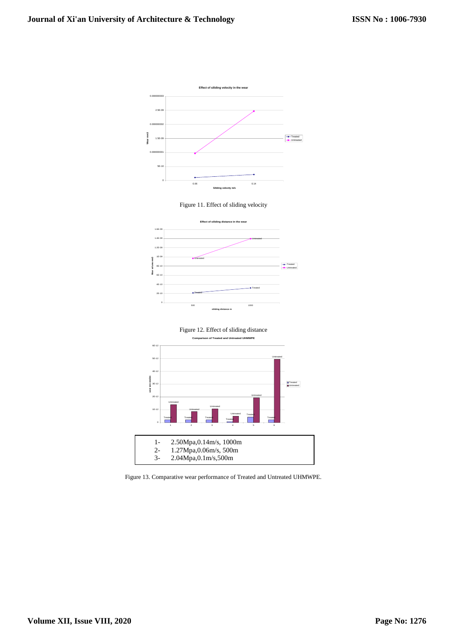







Figure 13. Comparative wear performance of Treated and Untreated UHMWPE.  $\frac{1}{2}$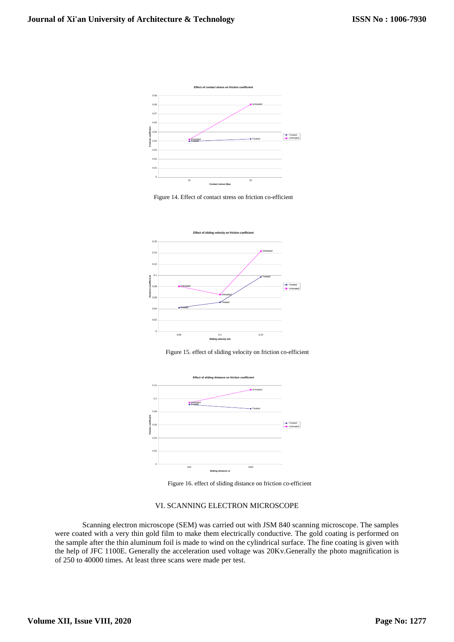

Figure 14. Effect of contact stress on friction co-efficient



Figure 15. effect of sliding velocity on friction co-efficient



Figure 16. effect of sliding distance on friction co-efficient

# VI. SCANNING ELECTRON MICROSCOPE

Scanning electron microscope (SEM) was carried out with JSM 840 scanning microscope. The samples were coated with a very thin gold film to make them electrically conductive. The gold coating is performed on the sample after the thin aluminum foil is made to wind on the cylindrical surface. The fine coating is given with the help of JFC 1100E. Generally the acceleration used voltage was 20Kv.Generally the photo magnification is of 250 to 40000 times. At least three scans were made per test.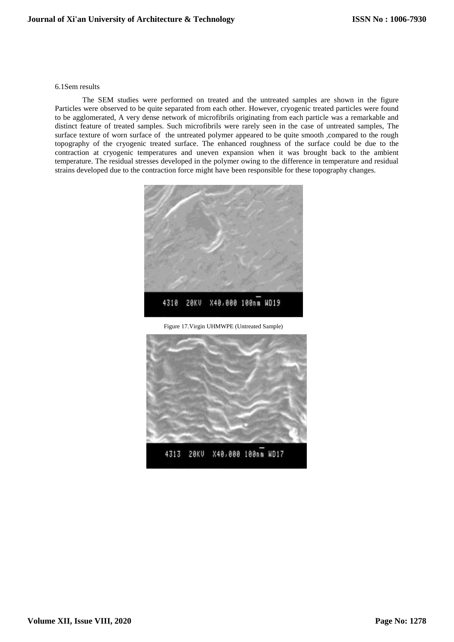## 6.1Sem results

The SEM studies were performed on treated and the untreated samples are shown in the figure Particles were observed to be quite separated from each other. However, cryogenic treated particles were found to be agglomerated, A very dense network of microfibrils originating from each particle was a remarkable and distinct feature of treated samples. Such microfibrils were rarely seen in the case of untreated samples, The surface texture of worn surface of the untreated polymer appeared to be quite smooth ,compared to the rough topography of the cryogenic treated surface. The enhanced roughness of the surface could be due to the contraction at cryogenic temperatures and uneven expansion when it was brought back to the ambient temperature. The residual stresses developed in the polymer owing to the difference in temperature and residual strains developed due to the contraction force might have been responsible for these topography changes.



Figure 17.Virgin UHMWPE (Untreated Sample)

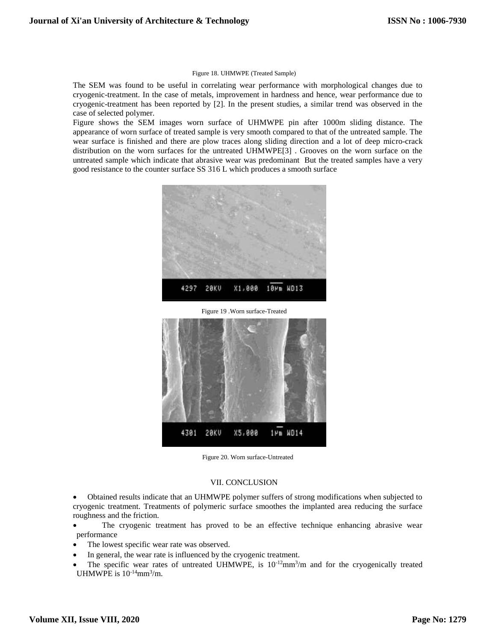#### Figure 18. UHMWPE (Treated Sample)

The SEM was found to be useful in correlating wear performance with morphological changes due to cryogenic-treatment. In the case of metals, improvement in hardness and hence, wear performance due to cryogenic-treatment has been reported by [2]. In the present studies, a similar trend was observed in the case of selected polymer.

Figure shows the SEM images worn surface of UHMWPE pin after 1000m sliding distance. The appearance of worn surface of treated sample is very smooth compared to that of the untreated sample. The wear surface is finished and there are plow traces along sliding direction and a lot of deep micro-crack distribution on the worn surfaces for the untreated UHMWPE[3] . Grooves on the worn surface on the untreated sample which indicate that abrasive wear was predominant But the treated samples have a very good resistance to the counter surface SS 316 L which produces a smooth surface



Figure 20. Worn surface-Untreated

# VII. CONCLUSION

 Obtained results indicate that an UHMWPE polymer suffers of strong modifications when subjected to cryogenic treatment. Treatments of polymeric surface smoothes the implanted area reducing the surface roughness and the friction.

 The cryogenic treatment has proved to be an effective technique enhancing abrasive wear performance

- The lowest specific wear rate was observed.
- In general, the wear rate is influenced by the cryogenic treatment.
- The specific wear rates of untreated UHMWPE, is  $10^{-12}$ mm<sup>3</sup>/m and for the cryogenically treated UHMWPE is  $10^{-14}$ mm $^3$ /m.